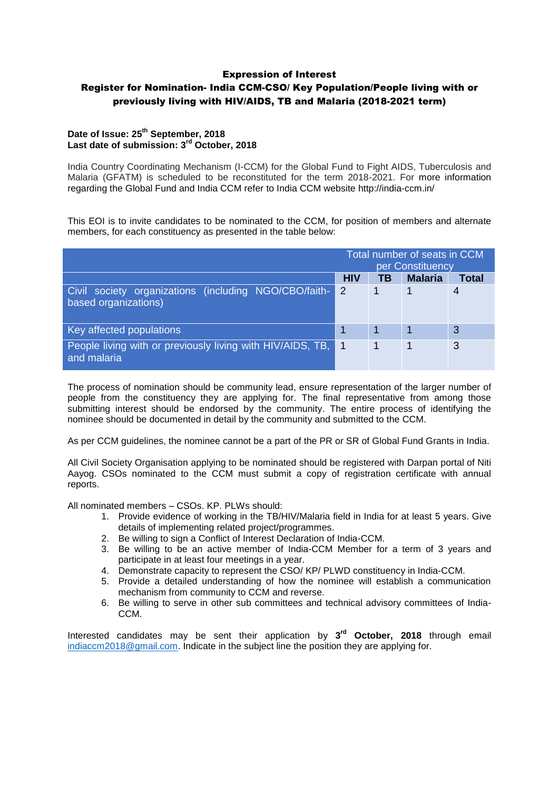### Expression of Interest Register for Nomination- India CCM-CSO/ Key Population/People living with or previously living with HIV/AIDS, TB and Malaria (2018-2021 term)

#### **Date of Issue: 25th September, 2018 Last date of submission: 3rd October, 2018**

India Country Coordinating Mechanism (I-CCM) for the Global Fund to Fight AIDS, Tuberculosis and Malaria (GFATM) is scheduled to be reconstituted for the term 2018-2021. For more information regarding the Global Fund and India CCM refer to India CCM website http://india-ccm.in/

This EOI is to invite candidates to be nominated to the CCM, for position of members and alternate members, for each constituency as presented in the table below:

|                                                                               | Total number of seats in CCM<br>per Constituency |    |                |              |
|-------------------------------------------------------------------------------|--------------------------------------------------|----|----------------|--------------|
|                                                                               | <b>HIV</b>                                       | TB | <b>Malaria</b> | <b>Total</b> |
| Civil society organizations (including NGO/CBO/faith-<br>based organizations) | 2                                                |    |                | 4            |
| Key affected populations                                                      |                                                  | 1  | 1              | 3            |
| People living with or previously living with HIV/AIDS, TB, 1<br>and malaria   |                                                  |    |                | 3            |

The process of nomination should be community lead, ensure representation of the larger number of people from the constituency they are applying for. The final representative from among those submitting interest should be endorsed by the community. The entire process of identifying the nominee should be documented in detail by the community and submitted to the CCM.

As per CCM guidelines, the nominee cannot be a part of the PR or SR of Global Fund Grants in India.

All Civil Society Organisation applying to be nominated should be registered with Darpan portal of Niti Aayog. CSOs nominated to the CCM must submit a copy of registration certificate with annual reports.

All nominated members – CSOs. KP. PLWs should:

- 1. Provide evidence of working in the TB/HIV/Malaria field in India for at least 5 years. Give details of implementing related project/programmes.
- 2. Be willing to sign a Conflict of Interest Declaration of India-CCM.
- 3. Be willing to be an active member of India-CCM Member for a term of 3 years and participate in at least four meetings in a year.
- 4. Demonstrate capacity to represent the CSO/ KP/ PLWD constituency in India-CCM.
- 5. Provide a detailed understanding of how the nominee will establish a communication mechanism from community to CCM and reverse.
- 6. Be willing to serve in other sub committees and technical advisory committees of India-CCM.

Interested candidates may be sent their application by 3<sup>rd</sup> October, 2018 through email [indiaccm2018@gmail.com.](mailto:indiaccm2018@gmail.com) Indicate in the subject line the position they are applying for.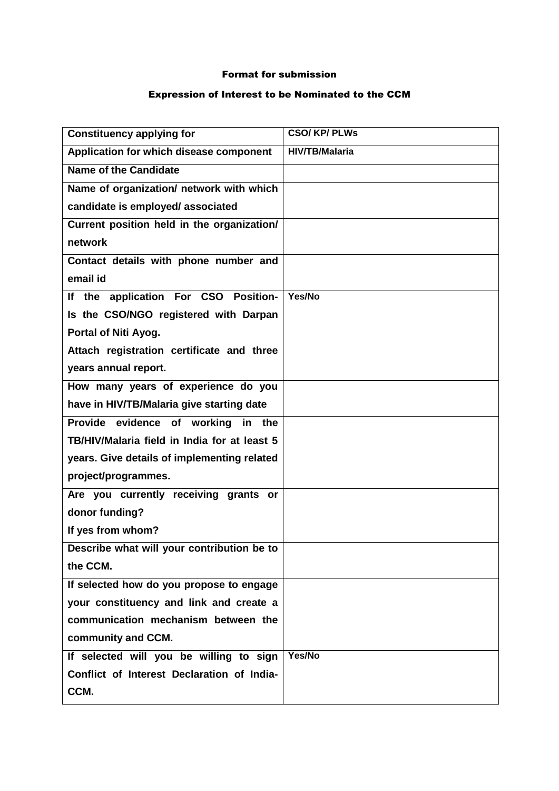### Format for submission

### Expression of Interest to be Nominated to the CCM

| <b>Constituency applying for</b>             | <b>CSO/KP/PLWs</b>    |
|----------------------------------------------|-----------------------|
| Application for which disease component      | <b>HIV/TB/Malaria</b> |
| <b>Name of the Candidate</b>                 |                       |
| Name of organization/ network with which     |                       |
| candidate is employed/associated             |                       |
| Current position held in the organization/   |                       |
| network                                      |                       |
| Contact details with phone number and        |                       |
| email id                                     |                       |
| If the application For CSO Position-         | Yes/No                |
| Is the CSO/NGO registered with Darpan        |                       |
| Portal of Niti Ayog.                         |                       |
| Attach registration certificate and three    |                       |
| years annual report.                         |                       |
| How many years of experience do you          |                       |
| have in HIV/TB/Malaria give starting date    |                       |
| Provide evidence of working in the           |                       |
| TB/HIV/Malaria field in India for at least 5 |                       |
| years. Give details of implementing related  |                       |
| project/programmes.                          |                       |
| Are you currently receiving grants or        |                       |
| donor funding?                               |                       |
| If yes from whom?                            |                       |
| Describe what will your contribution be to   |                       |
| the CCM.                                     |                       |
| If selected how do you propose to engage     |                       |
| your constituency and link and create a      |                       |
| communication mechanism between the          |                       |
| community and CCM.                           |                       |
| If selected will you be willing to sign      | Yes/No                |
| Conflict of Interest Declaration of India-   |                       |
| CCM.                                         |                       |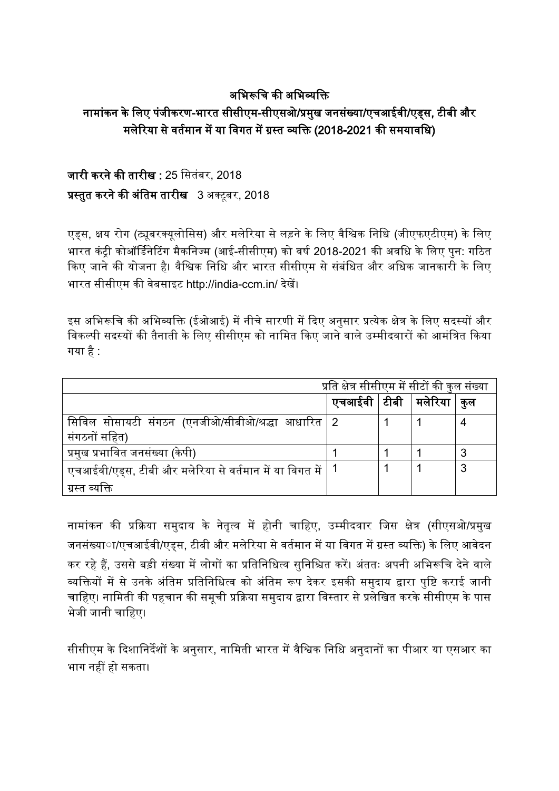## अभिरूचि की अभिव्यक्ति

# नामांकन के लिए पंजीकरण-भारत सीसीएम-सीएसओ/प्रमुख जनसंख्या/एचआईवी/एड्स, टीबी और मलेरिया से वर्तमान में या विगत में ग्रस्त व्यक्ति (2018-2021 की समयावधि)

# जारी करने की तारीख : 25 सितंबर, 2018 प्रस्तुत करने की अंतिम तारीख 3 अक्टूबर, 2018

एड्स, क्षय रोग (ट्यूबरक्यूलोसिस) और मलेरिया से लड़ने के लिए वैश्विक निधि (जीएफएटीएम) के लिए भारत कंटी कोऑर्डिनेटिंग मैकनिज्म (आई-सीसीएम) को वर्ष 2018-2021 की अवधि के लिए पुन: गठित किए जाने की योजना है। वैश्विक निधि और भारत सीसीएम से संबंधित और अधिक जानकारी के लिए िारत सीसीएम की वेबसाइट http://india-ccm.in/ देखें।

इस अभिरूचि की अभिव्यक्ति (ईओआई) में नीचे सारणी में दिए अनसार प्रत्येक क्षेत्र के लिए सदस्यों और विकल्पी सदस्यों की तैनाती के लिए सीसीएम को नामित किए जाने वाले उम्मीदवारों को आमंत्रित किया गया है :

|                                                                  | प्रति क्षेत्र सीसीएम में सीटों की कुल संख्या |  |  |     |
|------------------------------------------------------------------|----------------------------------------------|--|--|-----|
|                                                                  | एचआईवी ॑ टीबी │ मलेरिया                      |  |  | कुल |
| सिविल सोसायटी संगठन (एनजीओ/सीबीओ/श्रद्धा आधारित 2                |                                              |  |  |     |
| संगठनों सहित)                                                    |                                              |  |  |     |
| प्रमुख प्रभावित जनसंख्या (केपी)                                  |                                              |  |  |     |
| एचआईवी/एड्स, टीबी और मलेरिया से वर्तमान में या विगत में $\mid$ 1 |                                              |  |  |     |
| ग्रस्त व्यक्ति                                                   |                                              |  |  |     |

नामांकन की प्रक्रिया समुदाय के नेतृत्व में होनी चाहिए, उम्मीदवार जिस क्षेत्र (सीएसओ/प्रमुख जनसंख्याा/एचआईवी/एडस, टीबी और मलेरिया से वर्तमान में या विगत में ग्रस्त व्यक्ति) के लिए आवेदन कर रहे हैं, उससे बड़ी संख्या में लोगों का प्रतिनिधित्व सुनिश्चित करें। अंततः अपनी अभिरूचि देने वाले व्यक्तियों में से उनके अंतिम प्रतिनिधित्व को अंतिम रूप देकर इसकी समुदाय द्वारा पुष्टि कराई जानी चाहिए। नामिती की पहचान की समूची प्रक्रिया समुदाय द्वारा विस्तार से प्रलेखित करके सीसीएम के पास भेजी जानी चाहिए।

सीसीएम के दिशानिर्देशों के अनुसार, नामिती भारत में वैश्विक निधि अनुदानों का पीआर या एसआर का भाग नहीं हो सकता।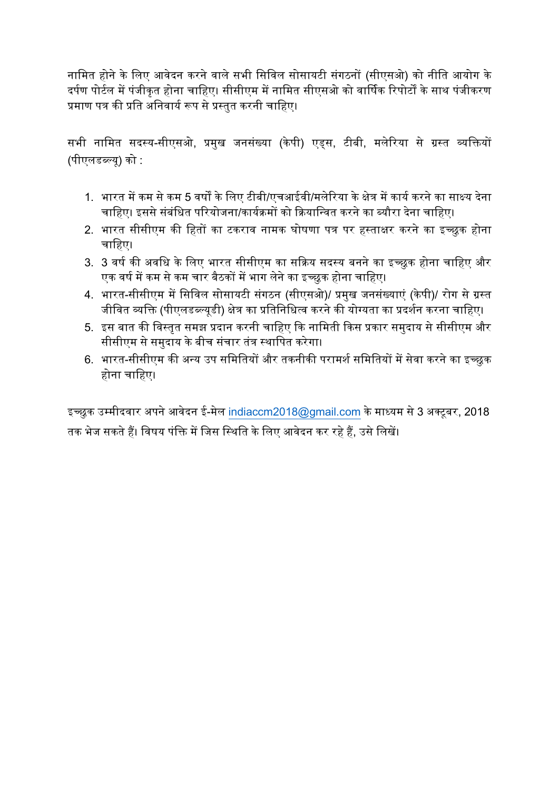नामित होने के लिए आवेदन करने वाले सभी सिविल सोसायटी संगठनों (सीएसओ) को नीति आयोग के दर्पण पोर्टल में पंजीकत होना चाहिए। सीसीएम में नामित सीएसओ को वार्षिक रिपोर्टों के साथ पंजीकरण प्रमाण पत्र की प्रति अनिवार्य रूप से प्रस्तुत करनी चाहिए।

सभी नामित सदस्य-सीएसओ, प्रमुख जनसंख्या (केपी) एड्स, टीबी, मलेरिया से ग्रस्त व्यक्तियों  $($ पीएलडब्ल्य) को :

- 1. भारत में कम से कम 5 वर्षों के लिए टीबी/एचआईवी/मलेरिया के क्षेत्र में कार्य करने का साक्ष्य देना चाहिए। इससे संबंधित परियोजना/कार्यक्रमों को क्रियान्वित करने का ब्यौरा देना चाहिए।
- 2. भारत सीसीएम की हितों का टकराव नामक घोषणा पत्र पर हस्ताक्षर करने का इच्छुक होना चाहिए।
- 3. 3 वर्ष की अवधि के लिए भारत सीसीएम का सक्रिय सदस्य बनने का इच्छक होना चाहिए और एक वर्ष में कम से कम चार बैठकों में भाग लेने का इच्छुक होना चाहिए।
- 4. भारत-सीसीएम में सिविल सोसायटी संगठन (सीएसओ)/ प्रमुख जनसंख्याएं (केपी)/ रोग से ग्रस्त जीवित व्यक्ति (पीएलडब्ल्यूडी) क्षेत्र का प्रतिनिधित्व करने की योग्यता का प्रदर्शन करना चाहिए।
- 5. इस बात की विस्तुत समझ प्रदान करनी चाहिए कि नामिती किस प्रकार समुदाय से सीसीएम और सीसीएम से समुदाय के बीच संचार तंत्र स्थापित करेगा।
- 6. भारत-सीसीएम की अन्य उप समितियों और तकनीकी परामर्श समितियों में सेवा करने का इच्छुक होना चाहिए।

इच्छुक उम्मीदवार अपने आवेदन ई-मेल [indiaccm2018@gmail.com](mailto:indiaccm2018@gmail.com) के माध्यम से 3 अक्टूबर, 2018 तक भेज सकते हैं। विषय पंक्ति में जिस स्थिति के लिए आवेदन कर रहे हैं, उसे लिखें।